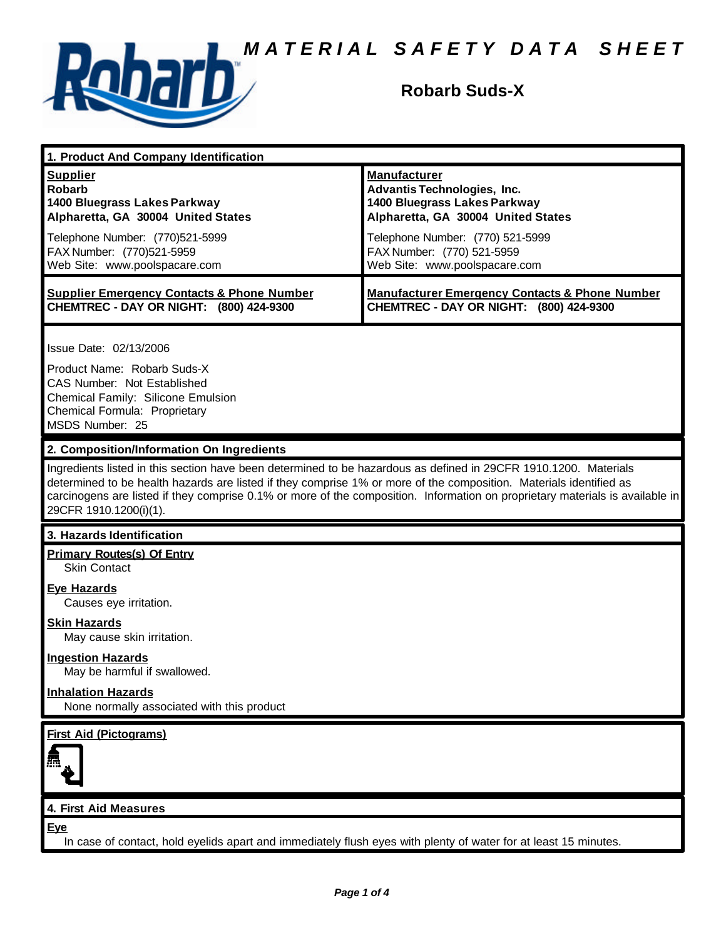

# **Robarb Suds-X**

| 1. Product And Company Identification                                                                                                                                                                                                                                                                                                                                                             |                                                                                                                                                                                                                                    |  |
|---------------------------------------------------------------------------------------------------------------------------------------------------------------------------------------------------------------------------------------------------------------------------------------------------------------------------------------------------------------------------------------------------|------------------------------------------------------------------------------------------------------------------------------------------------------------------------------------------------------------------------------------|--|
| <b>Supplier</b><br><b>Robarb</b><br>1400 Bluegrass Lakes Parkway<br>Alpharetta, GA 30004 United States<br>Telephone Number: (770)521-5999<br>FAX Number: (770)521-5959<br>Web Site: www.poolspacare.com                                                                                                                                                                                           | <b>Manufacturer</b><br><b>Advantis Technologies, Inc.</b><br>1400 Bluegrass Lakes Parkway<br>Alpharetta, GA 30004 United States<br>Telephone Number: (770) 521-5999<br>FAX Number: (770) 521-5959<br>Web Site: www.poolspacare.com |  |
| <b>Supplier Emergency Contacts &amp; Phone Number</b><br>CHEMTREC - DAY OR NIGHT: (800) 424-9300                                                                                                                                                                                                                                                                                                  | <b>Manufacturer Emergency Contacts &amp; Phone Number</b><br>CHEMTREC - DAY OR NIGHT: (800) 424-9300                                                                                                                               |  |
| Issue Date: 02/13/2006<br>Product Name: Robarb Suds-X<br><b>CAS Number: Not Established</b><br>Chemical Family: Silicone Emulsion<br>Chemical Formula: Proprietary<br>MSDS Number: 25                                                                                                                                                                                                             |                                                                                                                                                                                                                                    |  |
| 2. Composition/Information On Ingredients                                                                                                                                                                                                                                                                                                                                                         |                                                                                                                                                                                                                                    |  |
| Ingredients listed in this section have been determined to be hazardous as defined in 29CFR 1910.1200. Materials<br>determined to be health hazards are listed if they comprise 1% or more of the composition. Materials identified as<br>carcinogens are listed if they comprise 0.1% or more of the composition. Information on proprietary materials is available in<br>29CFR 1910.1200(i)(1). |                                                                                                                                                                                                                                    |  |
| 3. Hazards Identification                                                                                                                                                                                                                                                                                                                                                                         |                                                                                                                                                                                                                                    |  |
| <b>Primary Routes(s) Of Entry</b><br><b>Skin Contact</b>                                                                                                                                                                                                                                                                                                                                          |                                                                                                                                                                                                                                    |  |
| <b>Eye Hazards</b><br>Causes eye irritation.                                                                                                                                                                                                                                                                                                                                                      |                                                                                                                                                                                                                                    |  |
| <b>Skin Hazards</b><br>May cause skin irritation.                                                                                                                                                                                                                                                                                                                                                 |                                                                                                                                                                                                                                    |  |
| <b>Ingestion Hazards</b><br>May be harmful if swallowed.                                                                                                                                                                                                                                                                                                                                          |                                                                                                                                                                                                                                    |  |
| <b>Inhalation Hazards</b><br>None normally associated with this product                                                                                                                                                                                                                                                                                                                           |                                                                                                                                                                                                                                    |  |
| <b>First Aid (Pictograms)</b>                                                                                                                                                                                                                                                                                                                                                                     |                                                                                                                                                                                                                                    |  |
|                                                                                                                                                                                                                                                                                                                                                                                                   |                                                                                                                                                                                                                                    |  |
| 4. First Aid Measures                                                                                                                                                                                                                                                                                                                                                                             |                                                                                                                                                                                                                                    |  |
| Eye<br>In case of contact, hold eyelids apart and immediately flush eyes with plenty of water for at least 15 minutes.                                                                                                                                                                                                                                                                            |                                                                                                                                                                                                                                    |  |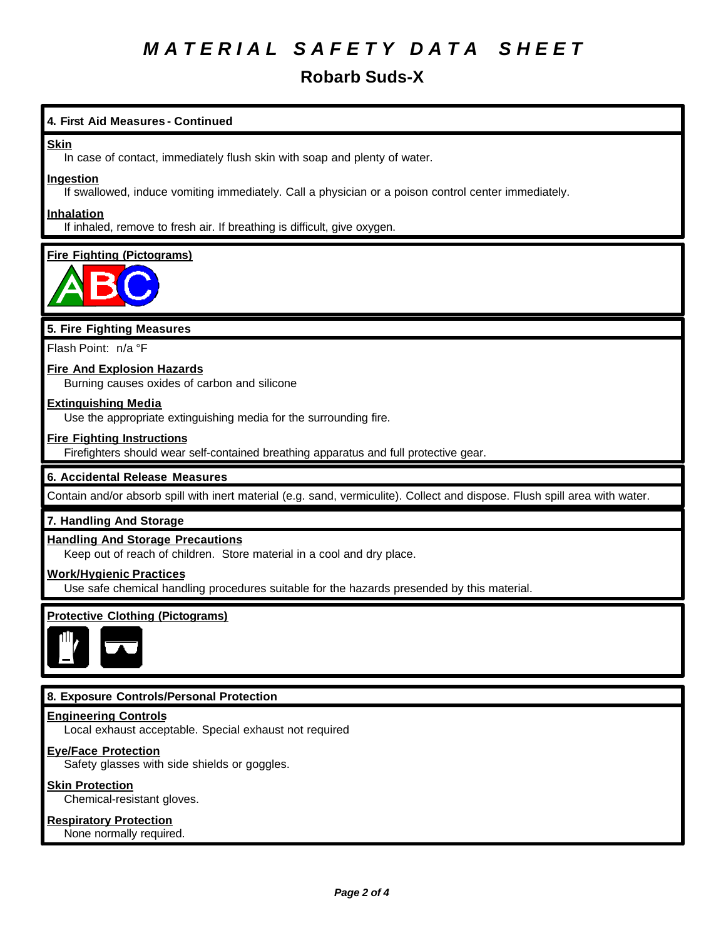## **Robarb Suds-X**

### **4. First Aid Measures - Continued**

#### **Skin**

In case of contact, immediately flush skin with soap and plenty of water.

#### **Ingestion**

If swallowed, induce vomiting immediately. Call a physician or a poison control center immediately.

#### **Inhalation**

If inhaled, remove to fresh air. If breathing is difficult, give oxygen.

### **Fire Fighting (Pictograms)**



### **5. Fire Fighting Measures**

Flash Point: n/a °F

### **Fire And Explosion Hazards**

Burning causes oxides of carbon and silicone

#### **Extinguishing Media**

Use the appropriate extinguishing media for the surrounding fire.

#### **Fire Fighting Instructions**

Firefighters should wear self-contained breathing apparatus and full protective gear.

#### **6. Accidental Release Measures**

Contain and/or absorb spill with inert material (e.g. sand, vermiculite). Collect and dispose. Flush spill area with water.

#### **7. Handling And Storage**

#### **Handling And Storage Precautions**

Keep out of reach of children. Store material in a cool and dry place.

#### **Work/Hygienic Practices**

Use safe chemical handling procedures suitable for the hazards presended by this material.

## **Protective Clothing (Pictograms)**



#### **8. Exposure Controls/Personal Protection**

#### **Engineering Controls**

Local exhaust acceptable. Special exhaust not required

#### **Eye/Face Protection**

Safety glasses with side shields or goggles.

#### **Skin Protection**

Chemical-resistant gloves.

#### **Respiratory Protection**

None normally required.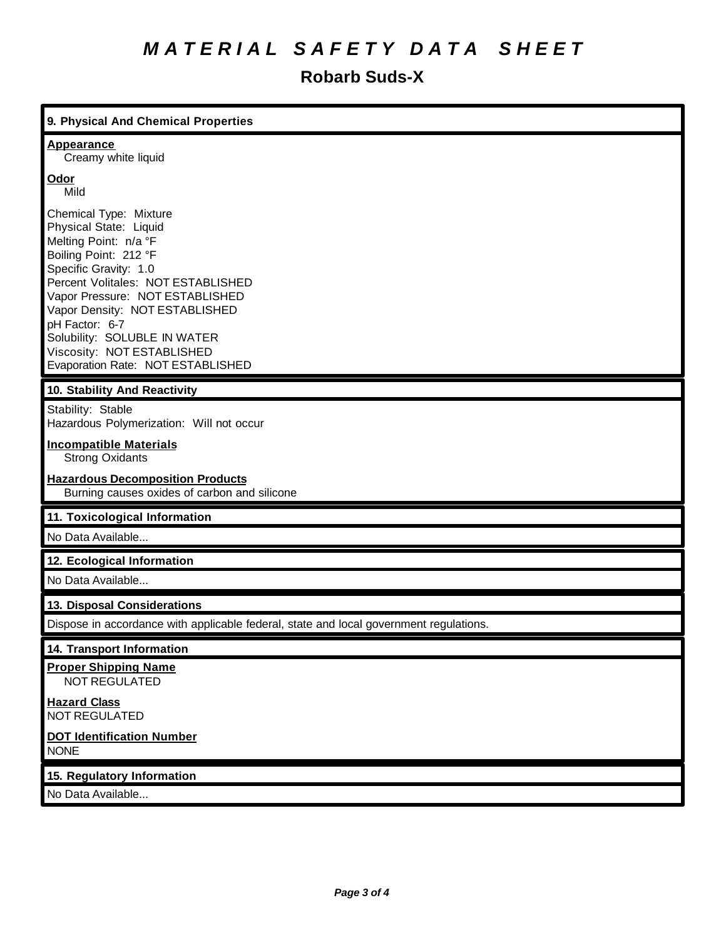## **Robarb Suds-X**

## **9. Physical And Chemical Properties Appearance** Creamy white liquid **Odor** Mild Chemical Type: Mixture Physical State: Liquid Melting Point: n/a °F Boiling Point: 212 °F Specific Gravity: 1.0 Percent Volitales: NOT ESTABLISHED Vapor Pressure: NOT ESTABLISHED Vapor Density: NOT ESTABLISHED pH Factor: 6-7 Solubility: SOLUBLE IN WATER Viscosity: NOT ESTABLISHED Evaporation Rate: NOT ESTABLISHED **10. Stability And Reactivity** Stability: Stable Hazardous Polymerization: Will not occur **Incompatible Materials** Strong Oxidants **Hazardous Decomposition Products** Burning causes oxides of carbon and silicone **11. Toxicological Information** No Data Available... **12. Ecological Information** No Data Available... **13. Disposal Considerations** Dispose in accordance with applicable federal, state and local government regulations. **14. Transport Information Proper Shipping Name** NOT REGULATED **Hazard Class** NOT REGULATED **DOT Identification Number** NONE

**15. Regulatory Information**

No Data Available...